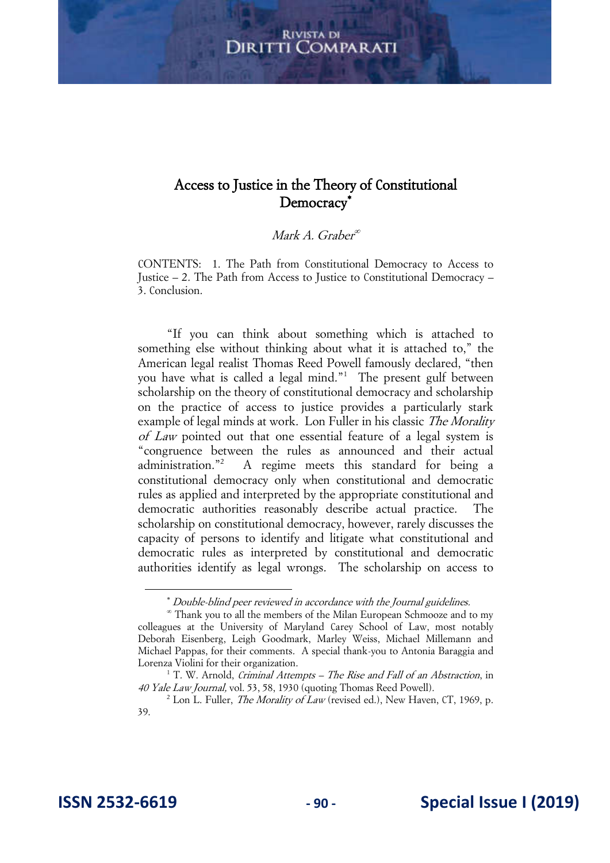## Access to Justice in the Theory of Constitutional Democracy<sup>\*</sup>

#### Mark A. Graber

CONTENTS: 1. The Path from Constitutional Democracy to Access to Justice – 2. The Path from Access to Justice to Constitutional Democracy – 3. Conclusion.

"If you can think about something which is attached to something else without thinking about what it is attached to," the American legal realist Thomas Reed Powell famously declared, "then you have what is called a legal mind."<sup>1</sup> The present gulf between scholarship on the theory of constitutional democracy and scholarship on the practice of access to justice provides a particularly stark example of legal minds at work. Lon Fuller in his classic The Morality of Law pointed out that one essential feature of a legal system is "congruence between the rules as announced and their actual administration."<sup>2</sup> A regime meets this standard for being a constitutional democracy only when constitutional and democratic rules as applied and interpreted by the appropriate constitutional and democratic authorities reasonably describe actual practice. The scholarship on constitutional democracy, however, rarely discusses the capacity of persons to identify and litigate what constitutional and democratic rules as interpreted by constitutional and democratic authorities identify as legal wrongs. The scholarship on access to

Double-blind peer reviewed in accordance with the Journal guidelines.

 Thank you to all the members of the Milan European Schmooze and to my colleagues at the University of Maryland Carey School of Law, most notably Deborah Eisenberg, Leigh Goodmark, Marley Weiss, Michael Millemann and Michael Pappas, for their comments. A special thank-you to Antonia Baraggia and Lorenza Violini for their organization.

<sup>&</sup>lt;sup>1</sup> T. W. Arnold, Criminal Attempts – The Rise and Fall of an Abstraction, in 40 Yale Law Journal, vol. 53, 58, 1930 (quoting Thomas Reed Powell).

<sup>&</sup>lt;sup>2</sup> Lon L. Fuller, *The Morality of Law* (revised ed.), New Haven, CT, 1969, p. 39.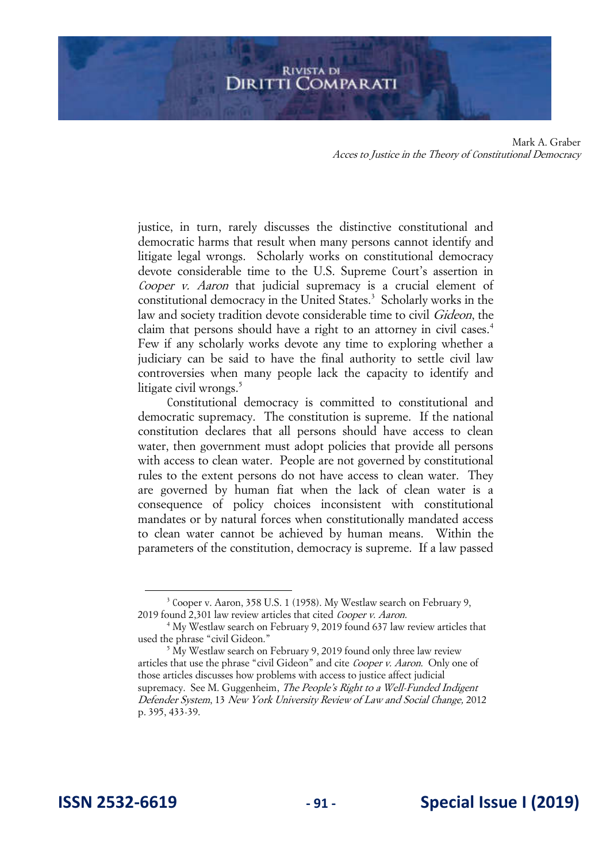justice, in turn, rarely discusses the distinctive constitutional and democratic harms that result when many persons cannot identify and litigate legal wrongs. Scholarly works on constitutional democracy devote considerable time to the U.S. Supreme Court's assertion in Cooper v. Aaron that judicial supremacy is a crucial element of constitutional democracy in the United States.<sup>3</sup> Scholarly works in the law and society tradition devote considerable time to civil Gideon, the claim that persons should have a right to an attorney in civil cases.<sup>4</sup> Few if any scholarly works devote any time to exploring whether a judiciary can be said to have the final authority to settle civil law controversies when many people lack the capacity to identify and litigate civil wrongs.<sup>5</sup>

Constitutional democracy is committed to constitutional and democratic supremacy. The constitution is supreme. If the national constitution declares that all persons should have access to clean water, then government must adopt policies that provide all persons with access to clean water. People are not governed by constitutional rules to the extent persons do not have access to clean water. They are governed by human fiat when the lack of clean water is a consequence of policy choices inconsistent with constitutional mandates or by natural forces when constitutionally mandated access to clean water cannot be achieved by human means. Within the parameters of the constitution, democracy is supreme. If a law passed

<sup>&</sup>lt;sup>3</sup> Cooper v. Aaron, 358 U.S. 1 (1958). My Westlaw search on February 9, 2019 found 2,301 law review articles that cited Cooper v. Aaron.

<sup>&</sup>lt;sup>4</sup> My Westlaw search on February 9, 2019 found 637 law review articles that used the phrase "civil Gideon."

<sup>&</sup>lt;sup>5</sup> My Westlaw search on February 9, 2019 found only three law review articles that use the phrase "civil Gideon" and cite Cooper v. Aaron. Only one of those articles discusses how problems with access to justice affect judicial supremacy. See M. Guggenheim, *The People's Right to a Well-Funded Indigent* Defender System, 13 New York University Review of Law and Social Change, 2012 p. 395, 433-39.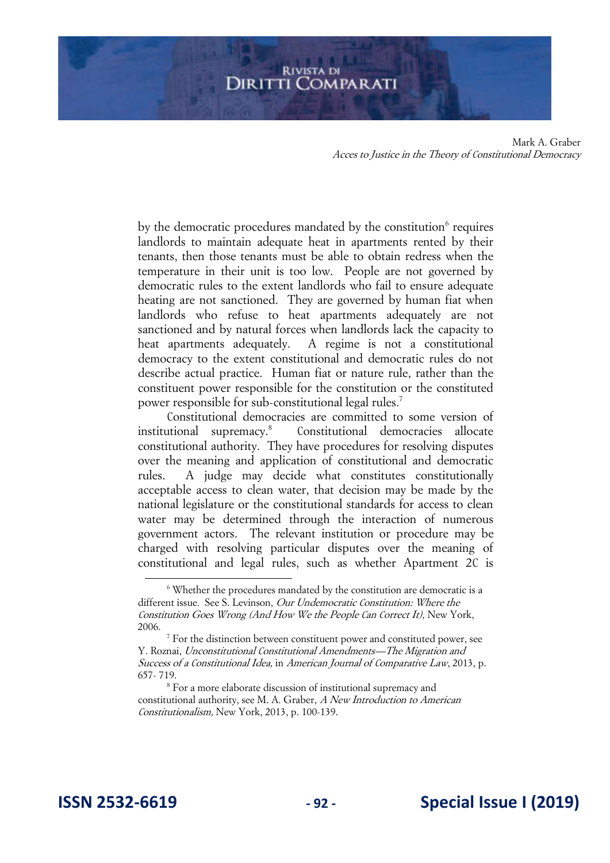by the democratic procedures mandated by the constitution<sup>6</sup> requires landlords to maintain adequate heat in apartments rented by their tenants, then those tenants must be able to obtain redress when the temperature in their unit is too low. People are not governed by democratic rules to the extent landlords who fail to ensure adequate heating are not sanctioned. They are governed by human fiat when landlords who refuse to heat apartments adequately are not sanctioned and by natural forces when landlords lack the capacity to heat apartments adequately. A regime is not a constitutional democracy to the extent constitutional and democratic rules do not describe actual practice. Human fiat or nature rule, rather than the constituent power responsible for the constitution or the constituted power responsible for sub-constitutional legal rules.<sup>7</sup>

Constitutional democracies are committed to some version of institutional supremacy.<sup>8</sup> Constitutional democracies allocate constitutional authority. They have procedures for resolving disputes over the meaning and application of constitutional and democratic rules. A judge may decide what constitutes constitutionally acceptable access to clean water, that decision may be made by the national legislature or the constitutional standards for access to clean water may be determined through the interaction of numerous government actors. The relevant institution or procedure may be charged with resolving particular disputes over the meaning of constitutional and legal rules, such as whether Apartment 2C is

<sup>&</sup>lt;sup>6</sup> Whether the procedures mandated by the constitution are democratic is a different issue. See S. Levinson, *Our Undemocratic Constitution: Where the* Constitution Goes Wrong (And How We the People Can Correct It), New York, 2006.

<sup>&</sup>lt;sup>7</sup> For the distinction between constituent power and constituted power, see Y. Roznai, Unconstitutional Constitutional Amendments—The Migration and Success of a Constitutional Idea, in American Journal of Comparative Law, 2013, p. 657- 719.

<sup>8</sup> For a more elaborate discussion of institutional supremacy and constitutional authority, see M. A. Graber, A New Introduction to American Constitutionalism, New York, 2013, p. 100-139.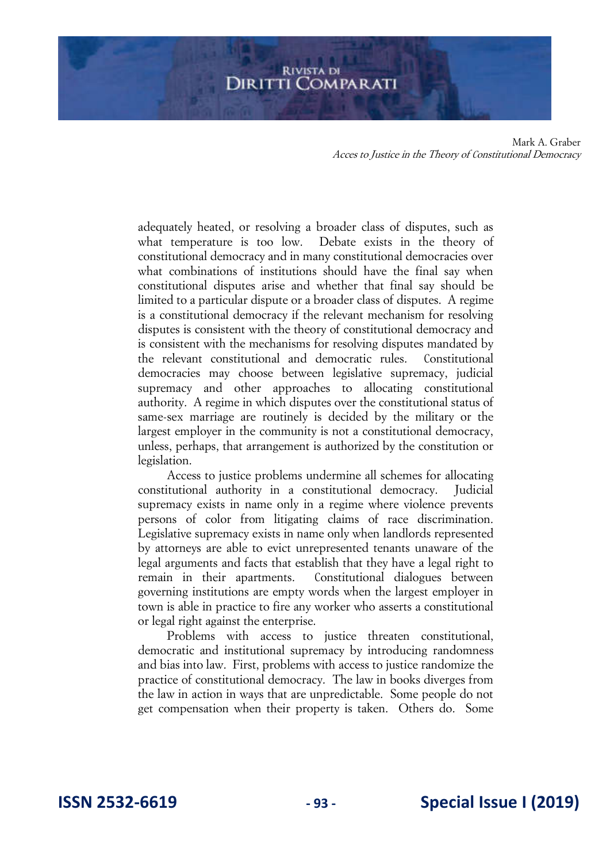adequately heated, or resolving a broader class of disputes, such as what temperature is too low. Debate exists in the theory of constitutional democracy and in many constitutional democracies over what combinations of institutions should have the final say when constitutional disputes arise and whether that final say should be limited to a particular dispute or a broader class of disputes. A regime is a constitutional democracy if the relevant mechanism for resolving disputes is consistent with the theory of constitutional democracy and is consistent with the mechanisms for resolving disputes mandated by the relevant constitutional and democratic rules. Constitutional democracies may choose between legislative supremacy, judicial supremacy and other approaches to allocating constitutional authority. A regime in which disputes over the constitutional status of same-sex marriage are routinely is decided by the military or the largest employer in the community is not a constitutional democracy, unless, perhaps, that arrangement is authorized by the constitution or legislation.

Access to justice problems undermine all schemes for allocating constitutional authority in a constitutional democracy. Judicial supremacy exists in name only in a regime where violence prevents persons of color from litigating claims of race discrimination. Legislative supremacy exists in name only when landlords represented by attorneys are able to evict unrepresented tenants unaware of the legal arguments and facts that establish that they have a legal right to remain in their apartments. Constitutional dialogues between governing institutions are empty words when the largest employer in town is able in practice to fire any worker who asserts a constitutional or legal right against the enterprise.

Problems with access to justice threaten constitutional, democratic and institutional supremacy by introducing randomness and bias into law. First, problems with access to justice randomize the practice of constitutional democracy. The law in books diverges from the law in action in ways that are unpredictable. Some people do not get compensation when their property is taken. Others do. Some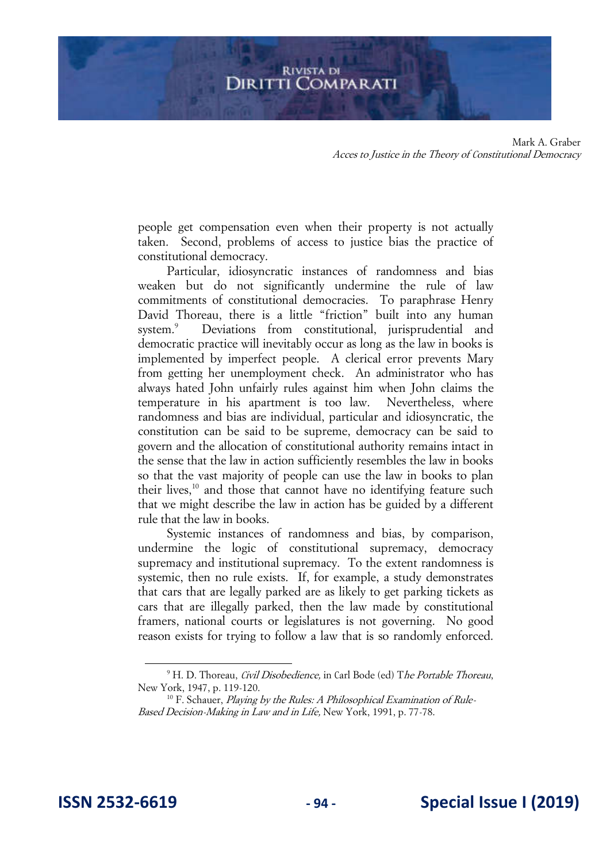people get compensation even when their property is not actually taken. Second, problems of access to justice bias the practice of constitutional democracy.

Particular, idiosyncratic instances of randomness and bias weaken but do not significantly undermine the rule of law commitments of constitutional democracies. To paraphrase Henry David Thoreau, there is a little "friction" built into any human system.<sup>9</sup> Deviations from constitutional, jurisprudential and democratic practice will inevitably occur as long as the law in books is implemented by imperfect people. A clerical error prevents Mary from getting her unemployment check. An administrator who has always hated John unfairly rules against him when John claims the temperature in his apartment is too law. Nevertheless, where randomness and bias are individual, particular and idiosyncratic, the constitution can be said to be supreme, democracy can be said to govern and the allocation of constitutional authority remains intact in the sense that the law in action sufficiently resembles the law in books so that the vast majority of people can use the law in books to plan their lives,<sup>10</sup> and those that cannot have no identifying feature such that we might describe the law in action has be guided by a different rule that the law in books.

Systemic instances of randomness and bias, by comparison, undermine the logic of constitutional supremacy, democracy supremacy and institutional supremacy. To the extent randomness is systemic, then no rule exists. If, for example, a study demonstrates that cars that are legally parked are as likely to get parking tickets as cars that are illegally parked, then the law made by constitutional framers, national courts or legislatures is not governing. No good reason exists for trying to follow a law that is so randomly enforced.

<sup>&</sup>lt;sup>9</sup> H. D. Thoreau, *Civil Disobedience,* in Carl Bode (ed) The Portable Thoreau, New York, 1947, p. 119-120.

 $10$  F. Schauer, Playing by the Rules: A Philosophical Examination of Rule-Based Decision-Making in Law and in Life, New York, 1991, p. 77-78.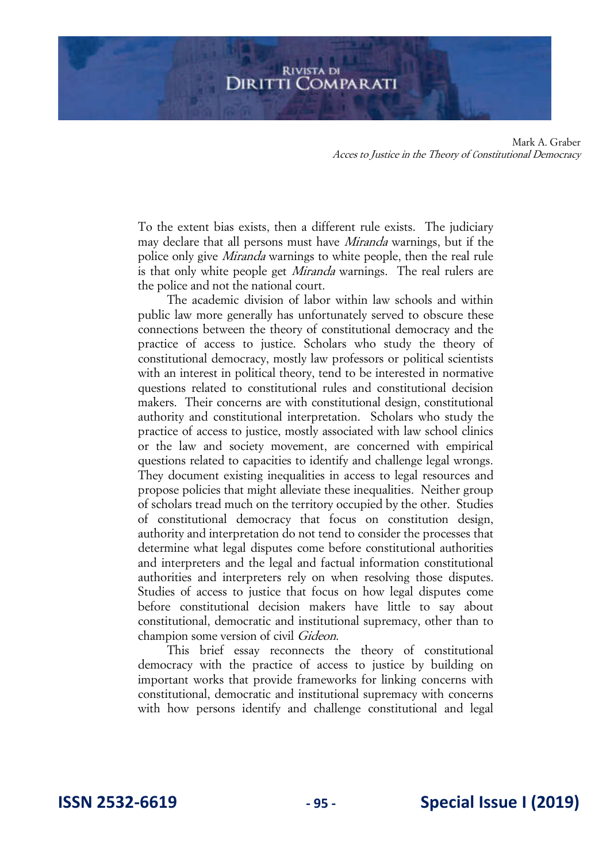To the extent bias exists, then a different rule exists. The judiciary may declare that all persons must have Miranda warnings, but if the police only give Miranda warnings to white people, then the real rule is that only white people get *Miranda* warnings. The real rulers are the police and not the national court.

The academic division of labor within law schools and within public law more generally has unfortunately served to obscure these connections between the theory of constitutional democracy and the practice of access to justice. Scholars who study the theory of constitutional democracy, mostly law professors or political scientists with an interest in political theory, tend to be interested in normative questions related to constitutional rules and constitutional decision makers. Their concerns are with constitutional design, constitutional authority and constitutional interpretation. Scholars who study the practice of access to justice, mostly associated with law school clinics or the law and society movement, are concerned with empirical questions related to capacities to identify and challenge legal wrongs. They document existing inequalities in access to legal resources and propose policies that might alleviate these inequalities. Neither group of scholars tread much on the territory occupied by the other. Studies of constitutional democracy that focus on constitution design, authority and interpretation do not tend to consider the processes that determine what legal disputes come before constitutional authorities and interpreters and the legal and factual information constitutional authorities and interpreters rely on when resolving those disputes. Studies of access to justice that focus on how legal disputes come before constitutional decision makers have little to say about constitutional, democratic and institutional supremacy, other than to champion some version of civil Gideon.

This brief essay reconnects the theory of constitutional democracy with the practice of access to justice by building on important works that provide frameworks for linking concerns with constitutional, democratic and institutional supremacy with concerns with how persons identify and challenge constitutional and legal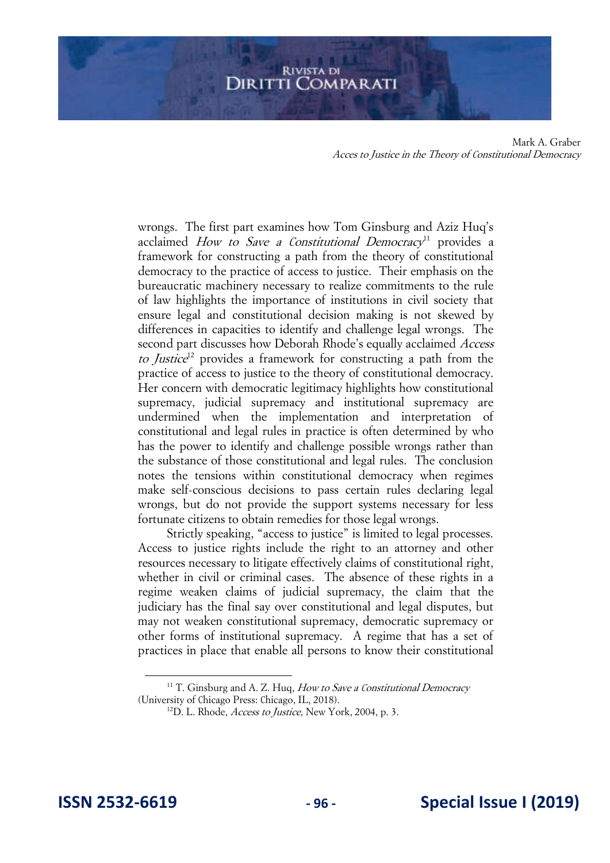wrongs. The first part examines how Tom Ginsburg and Aziz Huq's acclaimed How to Save a Constitutional Democracy<sup>11</sup> provides a framework for constructing a path from the theory of constitutional democracy to the practice of access to justice. Their emphasis on the bureaucratic machinery necessary to realize commitments to the rule of law highlights the importance of institutions in civil society that ensure legal and constitutional decision making is not skewed by differences in capacities to identify and challenge legal wrongs. The second part discusses how Deborah Rhode's equally acclaimed Access to Justice<sup>12</sup> provides a framework for constructing a path from the practice of access to justice to the theory of constitutional democracy. Her concern with democratic legitimacy highlights how constitutional supremacy, judicial supremacy and institutional supremacy are undermined when the implementation and interpretation of constitutional and legal rules in practice is often determined by who has the power to identify and challenge possible wrongs rather than the substance of those constitutional and legal rules. The conclusion notes the tensions within constitutional democracy when regimes make self-conscious decisions to pass certain rules declaring legal wrongs, but do not provide the support systems necessary for less fortunate citizens to obtain remedies for those legal wrongs.

Strictly speaking, "access to justice" is limited to legal processes. Access to justice rights include the right to an attorney and other resources necessary to litigate effectively claims of constitutional right, whether in civil or criminal cases. The absence of these rights in a regime weaken claims of judicial supremacy, the claim that the judiciary has the final say over constitutional and legal disputes, but may not weaken constitutional supremacy, democratic supremacy or other forms of institutional supremacy. A regime that has a set of practices in place that enable all persons to know their constitutional

 $11$  T. Ginsburg and A. Z. Huq, How to Save a Constitutional Democracy (University of Chicago Press: Chicago, IL, 2018).

 $12$ D. L. Rhode, *Access to Justice*, New York, 2004, p. 3.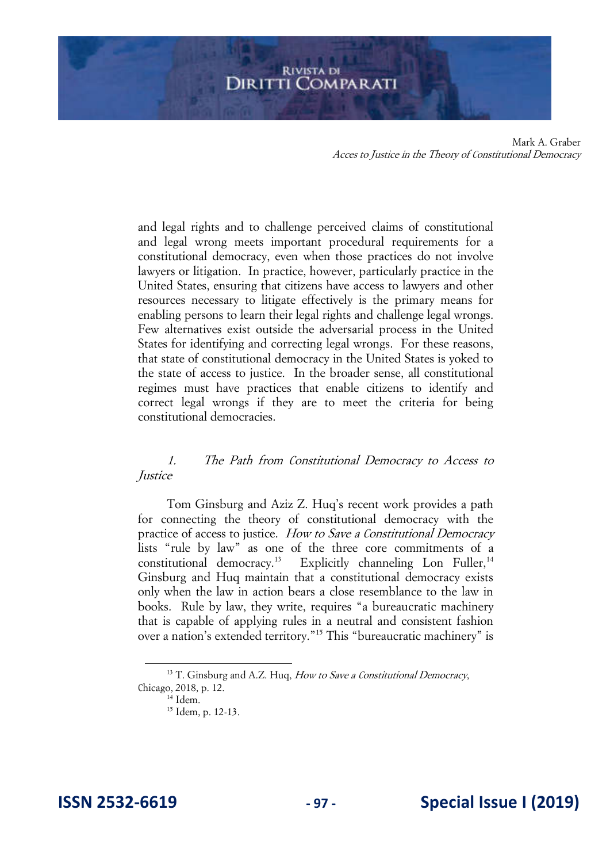and legal rights and to challenge perceived claims of constitutional and legal wrong meets important procedural requirements for a constitutional democracy, even when those practices do not involve lawyers or litigation. In practice, however, particularly practice in the United States, ensuring that citizens have access to lawyers and other resources necessary to litigate effectively is the primary means for enabling persons to learn their legal rights and challenge legal wrongs. Few alternatives exist outside the adversarial process in the United States for identifying and correcting legal wrongs. For these reasons, that state of constitutional democracy in the United States is yoked to the state of access to justice. In the broader sense, all constitutional regimes must have practices that enable citizens to identify and correct legal wrongs if they are to meet the criteria for being constitutional democracies.

#### 1. The Path from Constitutional Democracy to Access to *Justice*

Tom Ginsburg and Aziz Z. Huq's recent work provides a path for connecting the theory of constitutional democracy with the practice of access to justice. How to Save a Constitutional Democracy lists "rule by law" as one of the three core commitments of a constitutional democracy.<sup>13</sup> Explicitly channeling Lon Fuller,<sup>14</sup> Ginsburg and Huq maintain that a constitutional democracy exists only when the law in action bears a close resemblance to the law in books. Rule by law, they write, requires "a bureaucratic machinery that is capable of applying rules in a neutral and consistent fashion over a nation's extended territory."<sup>15</sup> This "bureaucratic machinery" is

 $13$  T. Ginsburg and A.Z. Hug, How to Save a Constitutional Democracy, Chicago, 2018, p. 12.

<sup>14</sup> Idem.

<sup>&</sup>lt;sup>15</sup> Idem, p. 12-13.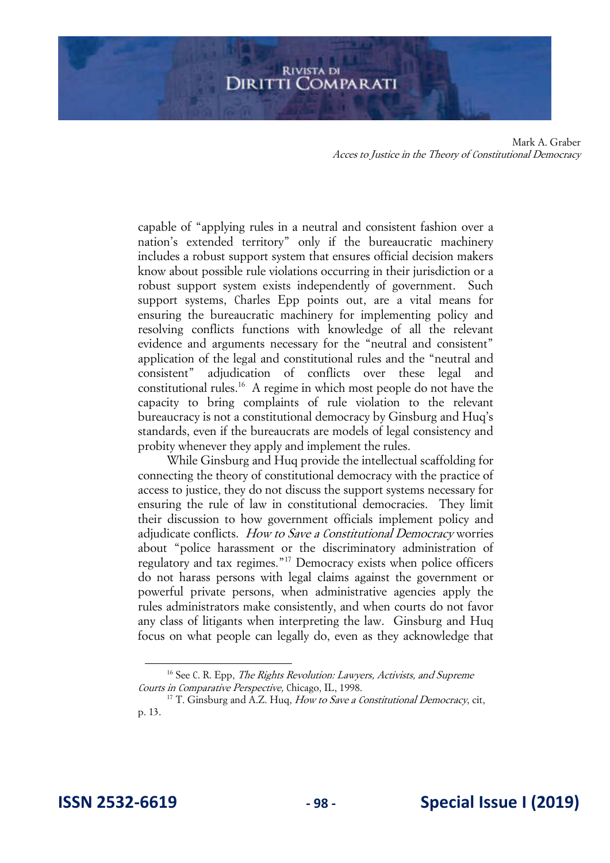capable of "applying rules in a neutral and consistent fashion over a nation's extended territory" only if the bureaucratic machinery includes a robust support system that ensures official decision makers know about possible rule violations occurring in their jurisdiction or a robust support system exists independently of government. Such support systems, Charles Epp points out, are a vital means for ensuring the bureaucratic machinery for implementing policy and resolving conflicts functions with knowledge of all the relevant evidence and arguments necessary for the "neutral and consistent" application of the legal and constitutional rules and the "neutral and consistent" adjudication of conflicts over these legal and constitutional rules.<sup>16</sup> A regime in which most people do not have the capacity to bring complaints of rule violation to the relevant bureaucracy is not a constitutional democracy by Ginsburg and Huq's standards, even if the bureaucrats are models of legal consistency and probity whenever they apply and implement the rules.

While Ginsburg and Huq provide the intellectual scaffolding for connecting the theory of constitutional democracy with the practice of access to justice, they do not discuss the support systems necessary for ensuring the rule of law in constitutional democracies. They limit their discussion to how government officials implement policy and adjudicate conflicts. How to Save a Constitutional Democracy worries about "police harassment or the discriminatory administration of regulatory and tax regimes."<sup>17</sup> Democracy exists when police officers do not harass persons with legal claims against the government or powerful private persons, when administrative agencies apply the rules administrators make consistently, and when courts do not favor any class of litigants when interpreting the law. Ginsburg and Huq focus on what people can legally do, even as they acknowledge that

 $16$  See C. R. Epp, *The Rights Revolution: Lawyers, Activists, and Supreme* Courts in Comparative Perspective, Chicago, IL, 1998.

<sup>&</sup>lt;sup>17</sup> T. Ginsburg and A.Z. Huq, *How to Save a Constitutional Democracy*, cit, p. 13.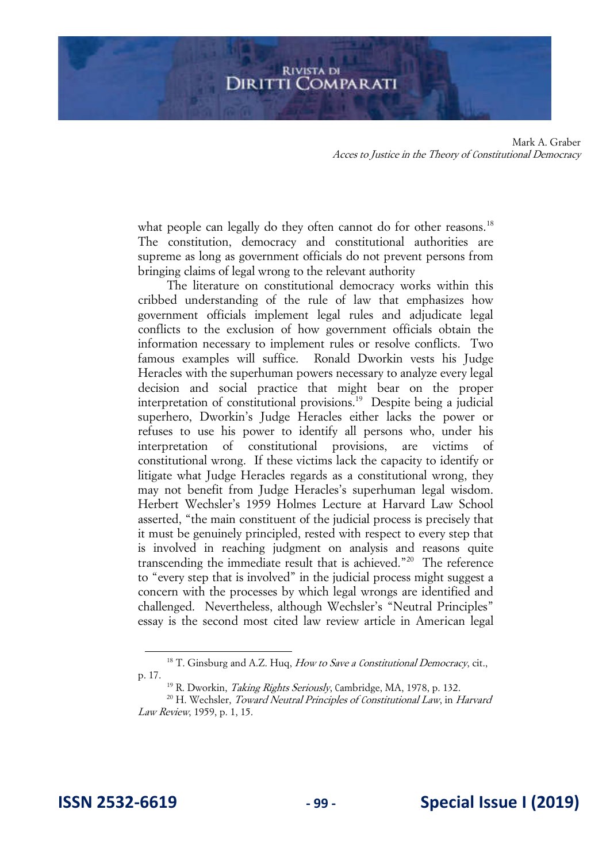what people can legally do they often cannot do for other reasons.<sup>18</sup> The constitution, democracy and constitutional authorities are supreme as long as government officials do not prevent persons from bringing claims of legal wrong to the relevant authority

The literature on constitutional democracy works within this cribbed understanding of the rule of law that emphasizes how government officials implement legal rules and adjudicate legal conflicts to the exclusion of how government officials obtain the information necessary to implement rules or resolve conflicts. Two famous examples will suffice. Ronald Dworkin vests his Judge Heracles with the superhuman powers necessary to analyze every legal decision and social practice that might bear on the proper interpretation of constitutional provisions.<sup>19</sup> Despite being a judicial superhero, Dworkin's Judge Heracles either lacks the power or refuses to use his power to identify all persons who, under his interpretation of constitutional provisions, are victims of constitutional wrong. If these victims lack the capacity to identify or litigate what Judge Heracles regards as a constitutional wrong, they may not benefit from Judge Heracles's superhuman legal wisdom. Herbert Wechsler's 1959 Holmes Lecture at Harvard Law School asserted, "the main constituent of the judicial process is precisely that it must be genuinely principled, rested with respect to every step that is involved in reaching judgment on analysis and reasons quite transcending the immediate result that is achieved."<sup>20</sup> The reference to "every step that is involved" in the judicial process might suggest a concern with the processes by which legal wrongs are identified and challenged. Nevertheless, although Wechsler's "Neutral Principles" essay is the second most cited law review article in American legal

 $18$  T. Ginsburg and A.Z. Huq, How to Save a Constitutional Democracy, cit., p. 17.

<sup>&</sup>lt;sup>19</sup> R. Dworkin, *Taking Rights Seriously*, Cambridge, MA, 1978, p. 132.

<sup>&</sup>lt;sup>20</sup> H. Wechsler, *Toward Neutral Principles of Constitutional Law*, in *Harvard* Law Review, 1959, p. 1, 15.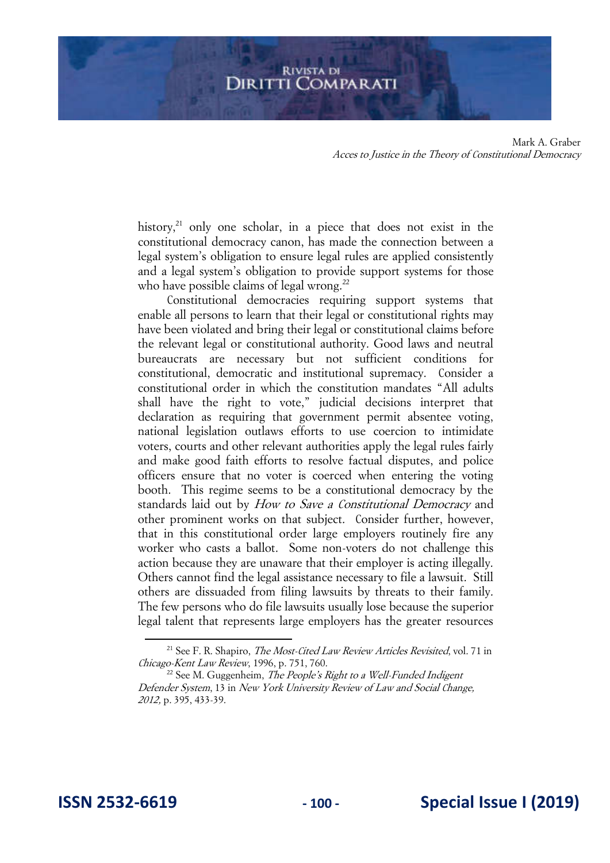history, $^{21}$  only one scholar, in a piece that does not exist in the constitutional democracy canon, has made the connection between a legal system's obligation to ensure legal rules are applied consistently and a legal system's obligation to provide support systems for those who have possible claims of legal wrong.<sup>22</sup>

Constitutional democracies requiring support systems that enable all persons to learn that their legal or constitutional rights may have been violated and bring their legal or constitutional claims before the relevant legal or constitutional authority. Good laws and neutral bureaucrats are necessary but not sufficient conditions for constitutional, democratic and institutional supremacy. Consider a constitutional order in which the constitution mandates "All adults shall have the right to vote," judicial decisions interpret that declaration as requiring that government permit absentee voting, national legislation outlaws efforts to use coercion to intimidate voters, courts and other relevant authorities apply the legal rules fairly and make good faith efforts to resolve factual disputes, and police officers ensure that no voter is coerced when entering the voting booth. This regime seems to be a constitutional democracy by the standards laid out by *How to Save a Constitutional Democracy* and other prominent works on that subject. Consider further, however, that in this constitutional order large employers routinely fire any worker who casts a ballot. Some non-voters do not challenge this action because they are unaware that their employer is acting illegally. Others cannot find the legal assistance necessary to file a lawsuit. Still others are dissuaded from filing lawsuits by threats to their family. The few persons who do file lawsuits usually lose because the superior legal talent that represents large employers has the greater resources

<sup>&</sup>lt;sup>21</sup> See F. R. Shapiro, *The Most-Cited Law Review Articles Revisited*, vol. 71 in Chicago-Kent Law Review, 1996, p. 751, 760.

 $22$  See M. Guggenheim, *The People's Right to a Well-Funded Indigent* Defender System, 13 in New York University Review of Law and Social Change, 2012, p. 395, 433-39.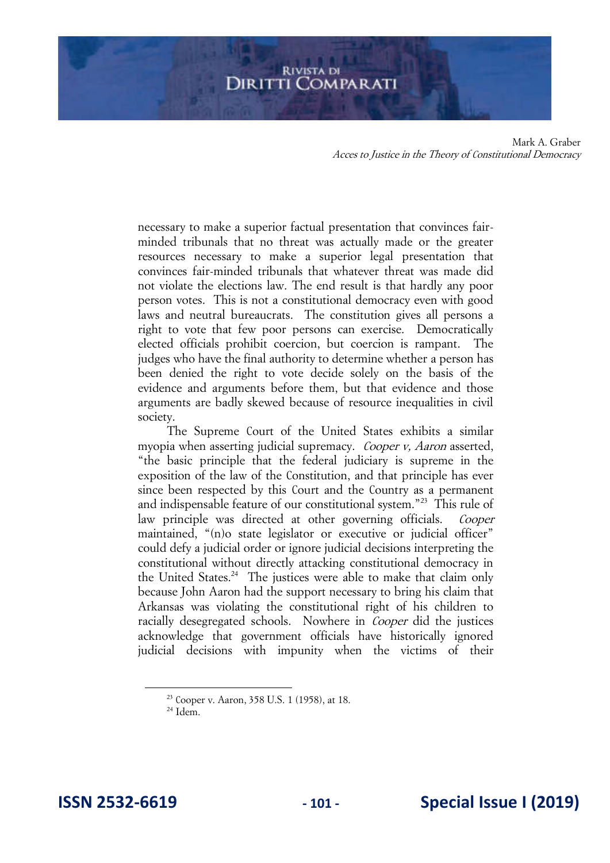necessary to make a superior factual presentation that convinces fairminded tribunals that no threat was actually made or the greater resources necessary to make a superior legal presentation that convinces fair-minded tribunals that whatever threat was made did not violate the elections law. The end result is that hardly any poor person votes. This is not a constitutional democracy even with good laws and neutral bureaucrats. The constitution gives all persons a right to vote that few poor persons can exercise. Democratically elected officials prohibit coercion, but coercion is rampant. The judges who have the final authority to determine whether a person has been denied the right to vote decide solely on the basis of the evidence and arguments before them, but that evidence and those arguments are badly skewed because of resource inequalities in civil society.

The Supreme Court of the United States exhibits a similar myopia when asserting judicial supremacy. *Cooper v, Aaron* asserted, "the basic principle that the federal judiciary is supreme in the exposition of the law of the Constitution, and that principle has ever since been respected by this Court and the Country as a permanent and indispensable feature of our constitutional system."<sup>23</sup> This rule of law principle was directed at other governing officials. Cooper maintained, "(n)o state legislator or executive or judicial officer" could defy a judicial order or ignore judicial decisions interpreting the constitutional without directly attacking constitutional democracy in the United States.<sup>24</sup> The justices were able to make that claim only because John Aaron had the support necessary to bring his claim that Arkansas was violating the constitutional right of his children to racially desegregated schools. Nowhere in *Cooper* did the justices acknowledge that government officials have historically ignored judicial decisions with impunity when the victims of their

<sup>23</sup> Cooper v. Aaron, 358 U.S. 1 (1958), at 18.

 $24$  Idem.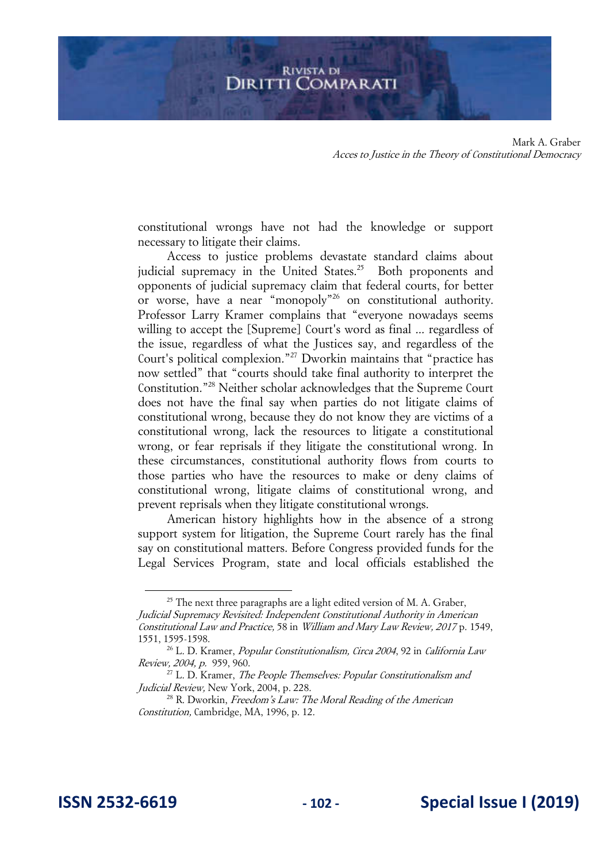constitutional wrongs have not had the knowledge or support necessary to litigate their claims.

Access to justice problems devastate standard claims about judicial supremacy in the United States.<sup>25</sup> Both proponents and opponents of judicial supremacy claim that federal courts, for better or worse, have a near "monopoly"<sup>26</sup> on constitutional authority. Professor Larry Kramer complains that "everyone nowadays seems willing to accept the [Supreme] Court's word as final ... regardless of the issue, regardless of what the Justices say, and regardless of the Court's political complexion."<sup>27</sup> Dworkin maintains that "practice has now settled" that "courts should take final authority to interpret the Constitution."<sup>28</sup> Neither scholar acknowledges that the Supreme Court does not have the final say when parties do not litigate claims of constitutional wrong, because they do not know they are victims of a constitutional wrong, lack the resources to litigate a constitutional wrong, or fear reprisals if they litigate the constitutional wrong. In these circumstances, constitutional authority flows from courts to those parties who have the resources to make or deny claims of constitutional wrong, litigate claims of constitutional wrong, and prevent reprisals when they litigate constitutional wrongs.

American history highlights how in the absence of a strong support system for litigation, the Supreme Court rarely has the final say on constitutional matters. Before Congress provided funds for the Legal Services Program, state and local officials established the

 $25$  The next three paragraphs are a light edited version of M. A. Graber, Judicial Supremacy Revisited: Independent Constitutional Authority in American Constitutional Law and Practice, 58 in William and Mary Law Review, 2017 p. 1549, 1551, 1595-1598.

<sup>&</sup>lt;sup>26</sup> L. D. Kramer, *Popular Constitutionalism, Circa 2004*, 92 in California Law Review, 2004, p. 959, 960.

 $27$  L. D. Kramer, The People Themselves: Popular Constitutionalism and Judicial Review, New York, 2004, p. 228.

 $28$  R. Dworkin, *Freedom's Law: The Moral Reading of the American* Constitution, Cambridge, MA, 1996, p. 12.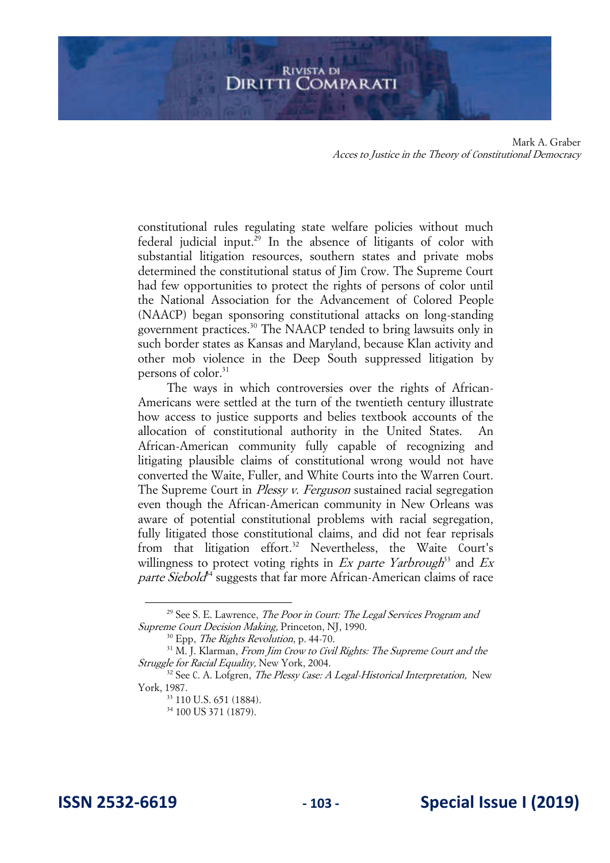constitutional rules regulating state welfare policies without much federal judicial input.<sup>29</sup> In the absence of litigants of color with substantial litigation resources, southern states and private mobs determined the constitutional status of Jim Crow. The Supreme Court had few opportunities to protect the rights of persons of color until the National Association for the Advancement of Colored People (NAACP) began sponsoring constitutional attacks on long-standing government practices.<sup>30</sup> The NAACP tended to bring lawsuits only in such border states as Kansas and Maryland, because Klan activity and other mob violence in the Deep South suppressed litigation by persons of color.<sup>31</sup>

The ways in which controversies over the rights of African-Americans were settled at the turn of the twentieth century illustrate how access to justice supports and belies textbook accounts of the allocation of constitutional authority in the United States. African-American community fully capable of recognizing and litigating plausible claims of constitutional wrong would not have converted the Waite, Fuller, and White Courts into the Warren Court. The Supreme Court in *Plessy v. Ferguson* sustained racial segregation even though the African-American community in New Orleans was aware of potential constitutional problems with racial segregation, fully litigated those constitutional claims, and did not fear reprisals from that litigation effort.<sup>32</sup> Nevertheless, the Waite Court's willingness to protect voting rights in  $Ex$  parte Yarbrough<sup>33</sup> and  $Ex$ parte Siebold<sup>44</sup> suggests that far more African-American claims of race

 $29$  See S. E. Lawrence, *The Poor in Court: The Legal Services Program and* Supreme Court Decision Making, Princeton, NJ, 1990.

 $30$  Epp, *The Rights Revolution*, p. 44-70.

 $31$  M. J. Klarman, From Jim Crow to Civil Rights: The Supreme Court and the Struggle for Racial Equality, New York, 2004.

 $32$  See C. A. Lofgren, *The Plessy Case: A Legal-Historical Interpretation*, New York, 1987.

<sup>33</sup> 110 U.S. 651 (1884).

<sup>&</sup>lt;sup>34</sup> 100 US 371 (1879).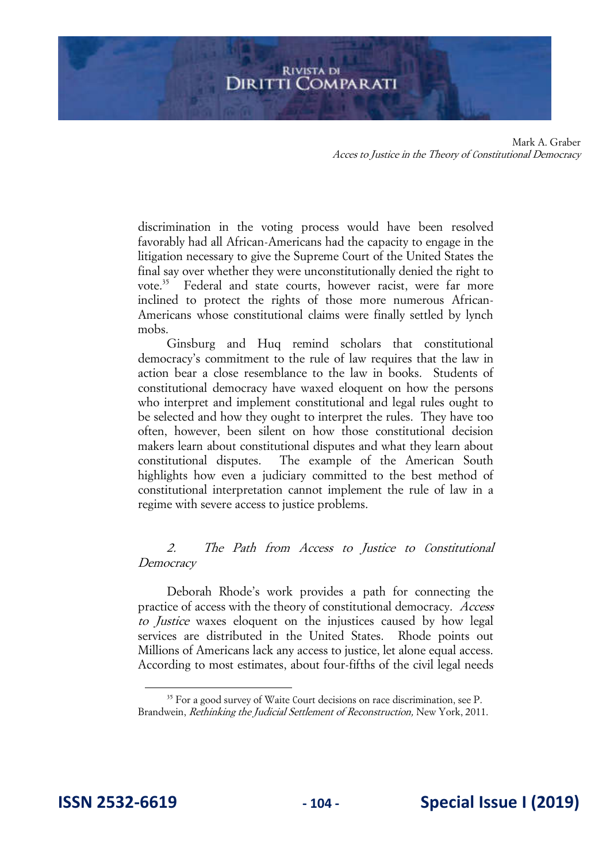discrimination in the voting process would have been resolved favorably had all African-Americans had the capacity to engage in the litigation necessary to give the Supreme Court of the United States the final say over whether they were unconstitutionally denied the right to vote.<sup>35</sup> Federal and state courts, however racist, were far more inclined to protect the rights of those more numerous African-Americans whose constitutional claims were finally settled by lynch mobs.

Ginsburg and Huq remind scholars that constitutional democracy's commitment to the rule of law requires that the law in action bear a close resemblance to the law in books. Students of constitutional democracy have waxed eloquent on how the persons who interpret and implement constitutional and legal rules ought to be selected and how they ought to interpret the rules. They have too often, however, been silent on how those constitutional decision makers learn about constitutional disputes and what they learn about constitutional disputes. The example of the American South highlights how even a judiciary committed to the best method of constitutional interpretation cannot implement the rule of law in a regime with severe access to justice problems.

#### 2. The Path from Access to Justice to Constitutional Democracy

Deborah Rhode's work provides a path for connecting the practice of access with the theory of constitutional democracy. Access to Justice waxes eloquent on the injustices caused by how legal services are distributed in the United States. Rhode points out Millions of Americans lack any access to justice, let alone equal access. According to most estimates, about four-fifths of the civil legal needs

<sup>&</sup>lt;sup>35</sup> For a good survey of Waite Court decisions on race discrimination, see P. Brandwein, Rethinking the Judicial Settlement of Reconstruction, New York, 2011.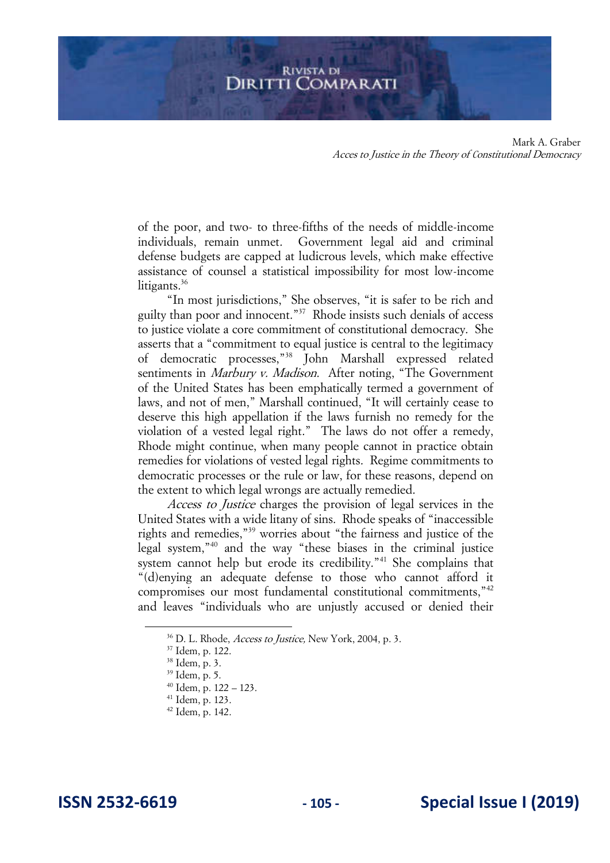of the poor, and two- to three-fifths of the needs of middle-income individuals, remain unmet. Government legal aid and criminal defense budgets are capped at ludicrous levels, which make effective assistance of counsel a statistical impossibility for most low-income litigants.<sup>36</sup>

"In most jurisdictions," She observes, "it is safer to be rich and guilty than poor and innocent."<sup>37</sup> Rhode insists such denials of access to justice violate a core commitment of constitutional democracy. She asserts that a "commitment to equal justice is central to the legitimacy of democratic processes,"<sup>38</sup> John Marshall expressed related sentiments in Marbury v. Madison. After noting, "The Government of the United States has been emphatically termed a government of laws, and not of men," Marshall continued, "It will certainly cease to deserve this high appellation if the laws furnish no remedy for the violation of a vested legal right." The laws do not offer a remedy, Rhode might continue, when many people cannot in practice obtain remedies for violations of vested legal rights. Regime commitments to democratic processes or the rule or law, for these reasons, depend on the extent to which legal wrongs are actually remedied.

Access to Justice charges the provision of legal services in the United States with a wide litany of sins. Rhode speaks of "inaccessible rights and remedies,"<sup>39</sup> worries about "the fairness and justice of the legal system,"<sup>40</sup> and the way "these biases in the criminal justice system cannot help but erode its credibility."<sup>41</sup> She complains that "(d)enying an adequate defense to those who cannot afford it compromises our most fundamental constitutional commitments,"<sup>42</sup> and leaves "individuals who are unjustly accused or denied their

<sup>41</sup> Idem, p. 123.

<sup>&</sup>lt;sup>36</sup> D. L. Rhode, *Access to Justice*, New York, 2004, p. 3.

<sup>37</sup> Idem, p. 122.

<sup>38</sup> Idem, p. 3.

<sup>39</sup> Idem, p. 5.

<sup>40</sup> Idem, p. 122 – 123.

 $42$  Idem, p. 142.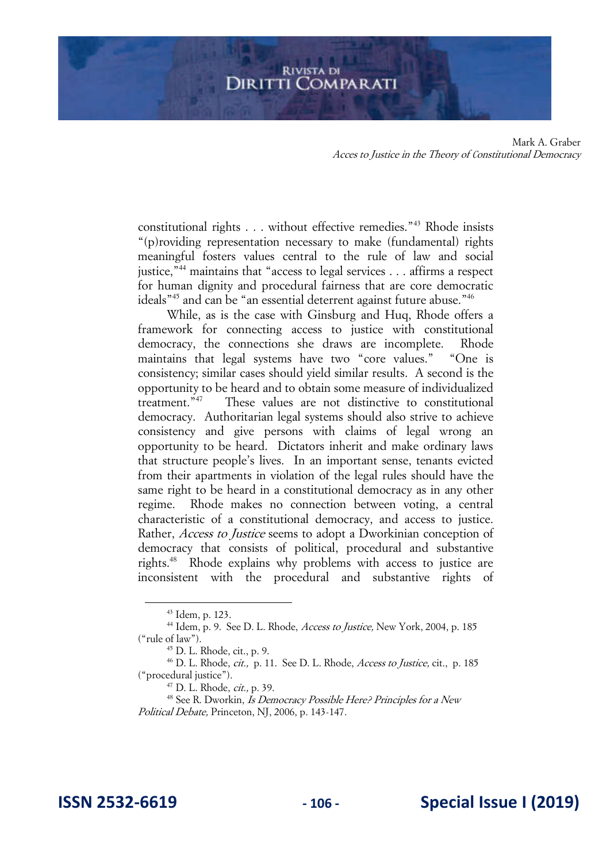constitutional rights . . . without effective remedies."<sup>43</sup> Rhode insists "(p)roviding representation necessary to make (fundamental) rights meaningful fosters values central to the rule of law and social justice,"<sup>44</sup> maintains that "access to legal services . . . affirms a respect for human dignity and procedural fairness that are core democratic ideals"<sup>45</sup> and can be "an essential deterrent against future abuse."<sup>46</sup>

While, as is the case with Ginsburg and Huq, Rhode offers a framework for connecting access to justice with constitutional democracy, the connections she draws are incomplete. Rhode maintains that legal systems have two "core values." "One is consistency; similar cases should yield similar results. A second is the opportunity to be heard and to obtain some measure of individualized treatment."<sup>47</sup> These values are not distinctive to constitutional democracy. Authoritarian legal systems should also strive to achieve consistency and give persons with claims of legal wrong an opportunity to be heard. Dictators inherit and make ordinary laws that structure people's lives. In an important sense, tenants evicted from their apartments in violation of the legal rules should have the same right to be heard in a constitutional democracy as in any other regime. Rhode makes no connection between voting, a central characteristic of a constitutional democracy, and access to justice. Rather, Access to Justice seems to adopt a Dworkinian conception of democracy that consists of political, procedural and substantive rights.<sup>48</sup> Rhode explains why problems with access to justice are inconsistent with the procedural and substantive rights of

<sup>43</sup> Idem, p. 123.

 $^{44}$  Idem, p. 9. See D. L. Rhode, *Access to Justice*, New York, 2004, p. 185 ("rule of law").

<sup>45</sup> D. L. Rhode, cit., p. 9.

<sup>&</sup>lt;sup>46</sup> D. L. Rhode, *cit.*, p. 11. See D. L. Rhode, *Access to Justice*, cit., p. 185 ("procedural justice").

<sup>47</sup> D. L. Rhode, cit., p. 39.

<sup>&</sup>lt;sup>48</sup> See R. Dworkin, *Is Democracy Possible Here? Principles for a New* Political Debate, Princeton, NJ, 2006, p. 143-147.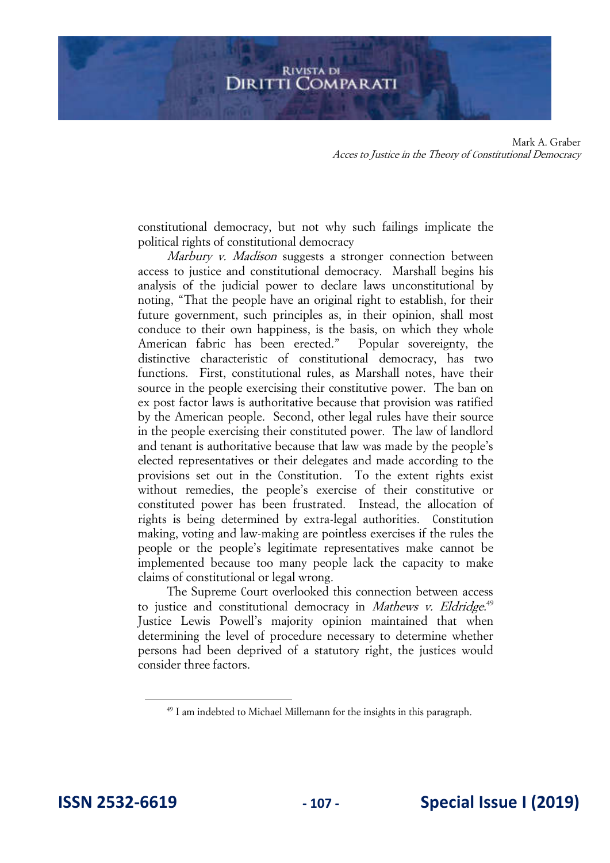

constitutional democracy, but not why such failings implicate the political rights of constitutional democracy

Marbury v. Madison suggests a stronger connection between access to justice and constitutional democracy. Marshall begins his analysis of the judicial power to declare laws unconstitutional by noting, "That the people have an original right to establish, for their future government, such principles as, in their opinion, shall most conduce to their own happiness, is the basis, on which they whole American fabric has been erected." Popular sovereignty, the distinctive characteristic of constitutional democracy, has two functions. First, constitutional rules, as Marshall notes, have their source in the people exercising their constitutive power. The ban on ex post factor laws is authoritative because that provision was ratified by the American people. Second, other legal rules have their source in the people exercising their constituted power. The law of landlord and tenant is authoritative because that law was made by the people's elected representatives or their delegates and made according to the provisions set out in the Constitution. To the extent rights exist without remedies, the people's exercise of their constitutive or constituted power has been frustrated. Instead, the allocation of rights is being determined by extra-legal authorities. Constitution making, voting and law-making are pointless exercises if the rules the people or the people's legitimate representatives make cannot be implemented because too many people lack the capacity to make claims of constitutional or legal wrong.

The Supreme Court overlooked this connection between access to justice and constitutional democracy in Mathews v. Eldridge.<sup>49</sup> Justice Lewis Powell's majority opinion maintained that when determining the level of procedure necessary to determine whether persons had been deprived of a statutory right, the justices would consider three factors.

<sup>&</sup>lt;sup>49</sup> I am indebted to Michael Millemann for the insights in this paragraph.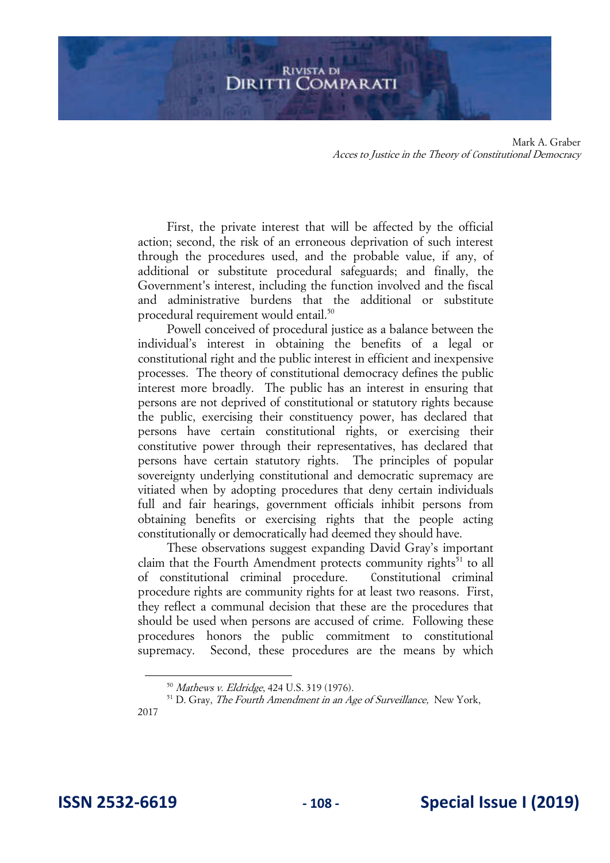First, the private interest that will be affected by the official action; second, the risk of an erroneous deprivation of such interest through the procedures used, and the probable value, if any, of additional or substitute procedural safeguards; and finally, the Government's interest, including the function involved and the fiscal and administrative burdens that the additional or substitute procedural requirement would entail.<sup>50</sup>

Powell conceived of procedural justice as a balance between the individual's interest in obtaining the benefits of a legal or constitutional right and the public interest in efficient and inexpensive processes. The theory of constitutional democracy defines the public interest more broadly. The public has an interest in ensuring that persons are not deprived of constitutional or statutory rights because the public, exercising their constituency power, has declared that persons have certain constitutional rights, or exercising their constitutive power through their representatives, has declared that persons have certain statutory rights. The principles of popular sovereignty underlying constitutional and democratic supremacy are vitiated when by adopting procedures that deny certain individuals full and fair hearings, government officials inhibit persons from obtaining benefits or exercising rights that the people acting constitutionally or democratically had deemed they should have.

These observations suggest expanding David Gray's important claim that the Fourth Amendment protects community rights<sup>51</sup> to all of constitutional criminal procedure. Constitutional criminal procedure rights are community rights for at least two reasons. First, they reflect a communal decision that these are the procedures that should be used when persons are accused of crime. Following these procedures honors the public commitment to constitutional supremacy. Second, these procedures are the means by which

<sup>50</sup> Mathews v. Eldridge, 424 U.S. 319 (1976).

 $51$  D. Gray, *The Fourth Amendment in an Age of Surveillance*, New York, 2017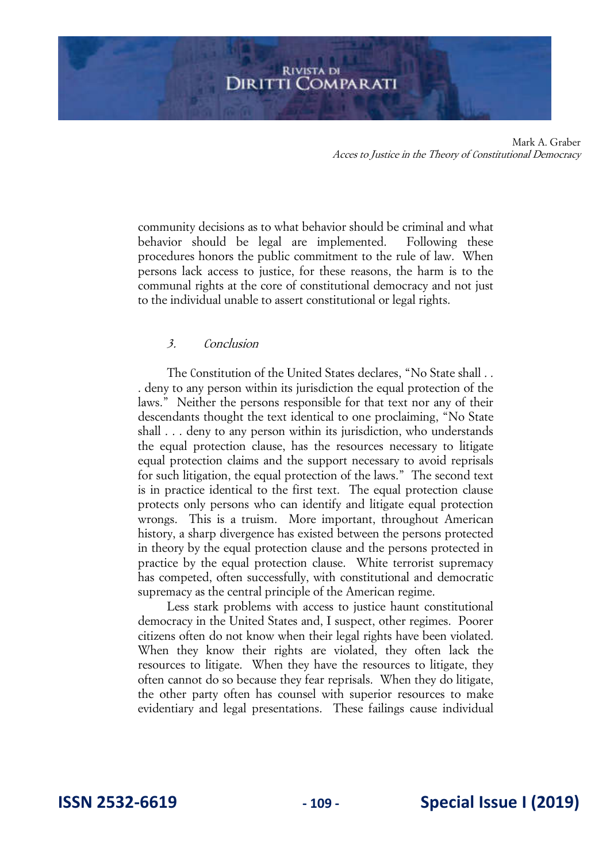community decisions as to what behavior should be criminal and what behavior should be legal are implemented. Following these procedures honors the public commitment to the rule of law. When persons lack access to justice, for these reasons, the harm is to the communal rights at the core of constitutional democracy and not just to the individual unable to assert constitutional or legal rights.

#### 3. Conclusion

The Constitution of the United States declares, "No State shall . . . deny to any person within its jurisdiction the equal protection of the laws." Neither the persons responsible for that text nor any of their descendants thought the text identical to one proclaiming, "No State shall . . . deny to any person within its jurisdiction, who understands the equal protection clause, has the resources necessary to litigate equal protection claims and the support necessary to avoid reprisals for such litigation, the equal protection of the laws." The second text is in practice identical to the first text. The equal protection clause protects only persons who can identify and litigate equal protection wrongs. This is a truism. More important, throughout American history, a sharp divergence has existed between the persons protected in theory by the equal protection clause and the persons protected in practice by the equal protection clause. White terrorist supremacy has competed, often successfully, with constitutional and democratic supremacy as the central principle of the American regime.

Less stark problems with access to justice haunt constitutional democracy in the United States and, I suspect, other regimes. Poorer citizens often do not know when their legal rights have been violated. When they know their rights are violated, they often lack the resources to litigate. When they have the resources to litigate, they often cannot do so because they fear reprisals. When they do litigate, the other party often has counsel with superior resources to make evidentiary and legal presentations. These failings cause individual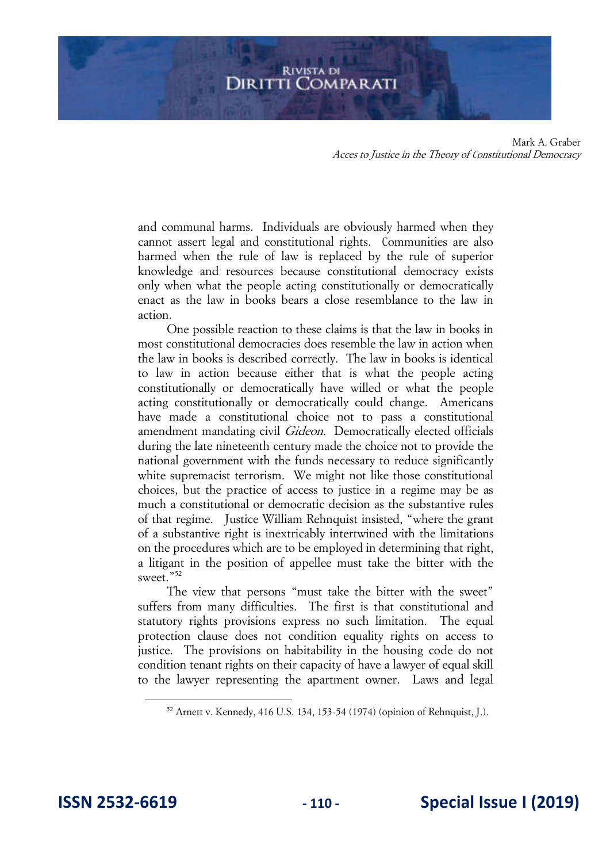and communal harms. Individuals are obviously harmed when they cannot assert legal and constitutional rights. Communities are also harmed when the rule of law is replaced by the rule of superior knowledge and resources because constitutional democracy exists only when what the people acting constitutionally or democratically enact as the law in books bears a close resemblance to the law in action.

One possible reaction to these claims is that the law in books in most constitutional democracies does resemble the law in action when the law in books is described correctly. The law in books is identical to law in action because either that is what the people acting constitutionally or democratically have willed or what the people acting constitutionally or democratically could change. Americans have made a constitutional choice not to pass a constitutional amendment mandating civil *Gideon*. Democratically elected officials during the late nineteenth century made the choice not to provide the national government with the funds necessary to reduce significantly white supremacist terrorism. We might not like those constitutional choices, but the practice of access to justice in a regime may be as much a constitutional or democratic decision as the substantive rules of that regime. Justice William Rehnquist insisted, "where the grant of a substantive right is inextricably intertwined with the limitations on the procedures which are to be employed in determining that right, a litigant in the position of appellee must take the bitter with the sweet."<sup>52</sup>

The view that persons "must take the bitter with the sweet" suffers from many difficulties. The first is that constitutional and statutory rights provisions express no such limitation. The equal protection clause does not condition equality rights on access to justice. The provisions on habitability in the housing code do not condition tenant rights on their capacity of have a lawyer of equal skill to the lawyer representing the apartment owner. Laws and legal

<sup>52</sup> Arnett v. Kennedy, 416 U.S. 134, 153-54 (1974) (opinion of Rehnquist, J.).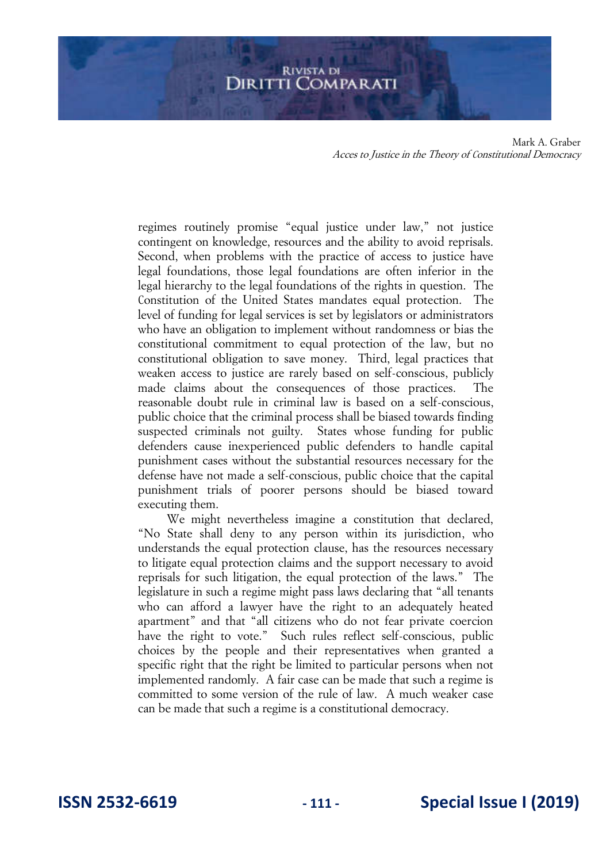regimes routinely promise "equal justice under law," not justice contingent on knowledge, resources and the ability to avoid reprisals. Second, when problems with the practice of access to justice have legal foundations, those legal foundations are often inferior in the legal hierarchy to the legal foundations of the rights in question. The Constitution of the United States mandates equal protection. The level of funding for legal services is set by legislators or administrators who have an obligation to implement without randomness or bias the constitutional commitment to equal protection of the law, but no constitutional obligation to save money. Third, legal practices that weaken access to justice are rarely based on self-conscious, publicly made claims about the consequences of those practices. The reasonable doubt rule in criminal law is based on a self-conscious, public choice that the criminal process shall be biased towards finding suspected criminals not guilty. States whose funding for public defenders cause inexperienced public defenders to handle capital punishment cases without the substantial resources necessary for the defense have not made a self-conscious, public choice that the capital punishment trials of poorer persons should be biased toward executing them.

We might nevertheless imagine a constitution that declared, "No State shall deny to any person within its jurisdiction, who understands the equal protection clause, has the resources necessary to litigate equal protection claims and the support necessary to avoid reprisals for such litigation, the equal protection of the laws." The legislature in such a regime might pass laws declaring that "all tenants who can afford a lawyer have the right to an adequately heated apartment" and that "all citizens who do not fear private coercion have the right to vote." Such rules reflect self-conscious, public choices by the people and their representatives when granted a specific right that the right be limited to particular persons when not implemented randomly. A fair case can be made that such a regime is committed to some version of the rule of law. A much weaker case can be made that such a regime is a constitutional democracy.

**ISSN 2532-6619 - 111 - Special Issue I (2019)**